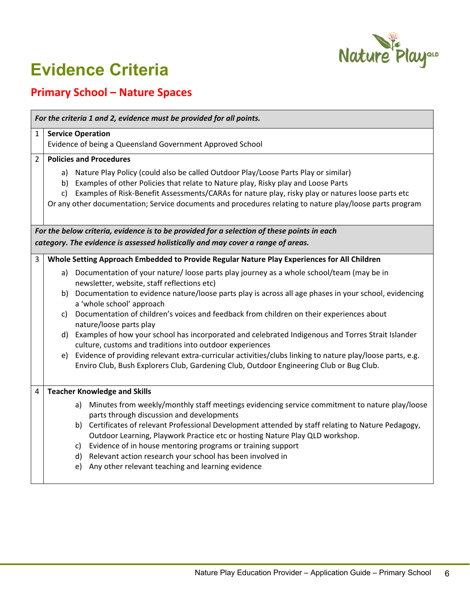

## **Evidence Criteria**

## **Primary School – Nature Spaces**

| For the criteria 1 and 2, evidence must be provided for all points.                                                                                                           |                                                                                                                                                                  |                                                                                                                                                                                                                                                                                                                                                                                                                                     |  |  |
|-------------------------------------------------------------------------------------------------------------------------------------------------------------------------------|------------------------------------------------------------------------------------------------------------------------------------------------------------------|-------------------------------------------------------------------------------------------------------------------------------------------------------------------------------------------------------------------------------------------------------------------------------------------------------------------------------------------------------------------------------------------------------------------------------------|--|--|
| 1                                                                                                                                                                             | <b>Service Operation</b><br>Evidence of being a Queensland Government Approved School                                                                            |                                                                                                                                                                                                                                                                                                                                                                                                                                     |  |  |
| $\mathfrak{p}$                                                                                                                                                                |                                                                                                                                                                  | <b>Policies and Procedures</b><br>a) Nature Play Policy (could also be called Outdoor Play/Loose Parts Play or similar)<br>b) Examples of other Policies that relate to Nature play, Risky play and Loose Parts<br>c) Examples of Risk-Benefit Assessments/CARAs for nature play, risky play or natures loose parts etc<br>Or any other documentation; Service documents and procedures relating to nature play/loose parts program |  |  |
| For the below criteria, evidence is to be provided for a selection of these points in each<br>category. The evidence is assessed holistically and may cover a range of areas. |                                                                                                                                                                  |                                                                                                                                                                                                                                                                                                                                                                                                                                     |  |  |
| 3                                                                                                                                                                             |                                                                                                                                                                  | Whole Setting Approach Embedded to Provide Regular Nature Play Experiences for All Children<br>a) Documentation of your nature/loose parts play journey as a whole school/team (may be in                                                                                                                                                                                                                                           |  |  |
|                                                                                                                                                                               |                                                                                                                                                                  | newsletter, website, staff reflections etc)<br>b) Documentation to evidence nature/loose parts play is across all age phases in your school, evidencing<br>a 'whole school' approach                                                                                                                                                                                                                                                |  |  |
|                                                                                                                                                                               | C)                                                                                                                                                               | Documentation of children's voices and feedback from children on their experiences about<br>nature/loose parts play                                                                                                                                                                                                                                                                                                                 |  |  |
|                                                                                                                                                                               | d) Examples of how your school has incorporated and celebrated Indigenous and Torres Strait Islander<br>culture, customs and traditions into outdoor experiences |                                                                                                                                                                                                                                                                                                                                                                                                                                     |  |  |
|                                                                                                                                                                               |                                                                                                                                                                  | e) Evidence of providing relevant extra-curricular activities/clubs linking to nature play/loose parts, e.g.<br>Enviro Club, Bush Explorers Club, Gardening Club, Outdoor Engineering Club or Bug Club.                                                                                                                                                                                                                             |  |  |
| 4                                                                                                                                                                             | <b>Teacher Knowledge and Skills</b>                                                                                                                              |                                                                                                                                                                                                                                                                                                                                                                                                                                     |  |  |
|                                                                                                                                                                               |                                                                                                                                                                  | Minutes from weekly/monthly staff meetings evidencing service commitment to nature play/loose<br>a)<br>parts through discussion and developments                                                                                                                                                                                                                                                                                    |  |  |
|                                                                                                                                                                               |                                                                                                                                                                  | b) Certificates of relevant Professional Development attended by staff relating to Nature Pedagogy,<br>Outdoor Learning, Playwork Practice etc or hosting Nature Play QLD workshop.                                                                                                                                                                                                                                                 |  |  |
|                                                                                                                                                                               |                                                                                                                                                                  | c) Evidence of in house mentoring programs or training support<br>d) Relevant action research your school has been involved in<br>Any other relevant teaching and learning evidence<br>e)                                                                                                                                                                                                                                           |  |  |